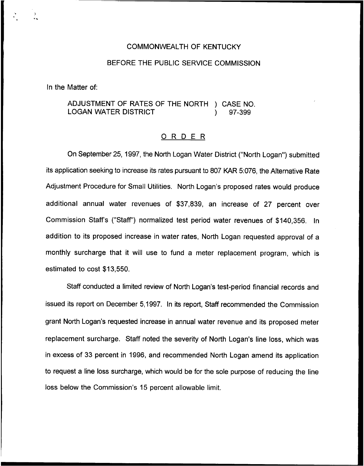#### COMMONWEALTH OF KENTUCKY

### BEFORE THE PUBLIC SERVICE COMMISSION

In the Matter of:

ADJUSTMENT OF RATES OF THE NORTH ) CASE NO.<br>LOGAN WATER DISTRICT (1) 97-399 **LOGAN WATER DISTRICT** 

#### 0 <sup>R</sup> <sup>D</sup> <sup>E</sup> <sup>R</sup>

On September 25, 1997, the North Logan Water District ("North Logan") submitte its application seeking to increase its rates pursuant to 807 KAR 5:076, the Alternative Rate Adjustment Procedure for Small Utilities. North Logan's proposed rates would produce additional annual water revenues of \$37,839, an increase of 27 percent over Commission Staffs ("Staff") normalized test period water revenues of \$140,356. In addition to its proposed increase in water rates, North Logan requested approval of a monthly surcharge that it will use to fund a meter replacement program, which is estimated to cost \$13,550.

Staff conducted a limited review of North Logan's test-period financial records and issued its report on December 5,1997. In its report, Staff recommended the Commission grant North Logan's requested increase in annual water revenue and its proposed meter replacement surcharge. Staff noted the severity of North Logan's line loss, which was in excess of 33 percent in 1996, and recommended North Logan amend its application to request a line loss surcharge, which would be for the sole purpose of reducing the line loss below the Commission's 15 percent allowable limit.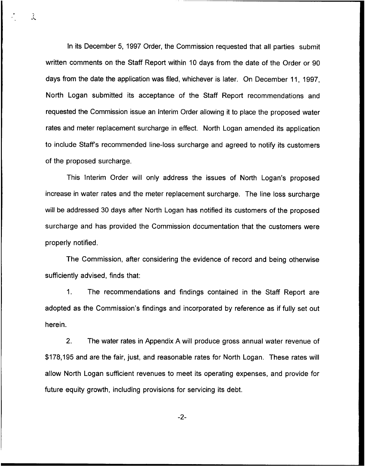ln its December 5, 1997 Order, the Commission requested that all parties submit written comments on the Staff Report within 10 days from the date of the Order or 90 days from the date the application was filed, whichever is later. On December 11, 1997, North Logan submitted its acceptance of the Staff Report recommendations and requested the Commission issue an Interim Order allowing it to place the proposed water rates and meter replacement surcharge in effect. North Logan amended its application to include Staff's recommended line-loss surcharge and agreed to notify its customers of the proposed surcharge.

j.

This Interim Order will only address the issues of North Logan's proposed increase in water rates and the meter replacement surcharge. The line loss surcharge will be addressed 30 days after North Logan has notified its customers of the proposed surcharge and has provided the Commission documentation that the customers were properly notified.

The Commission, after considering the evidence of record and being otherwise sufficiently advised, finds that:

1. The recommendations and findings contained in the Staff Report are adopted as the Commission's findings and incorporated by reference as if fully set out herein.

2. The water rates in Appendix A will produce gross annual water revenue of \$178,195 and are the fair, just, and reasonable rates for North Logan. These rates will allow North Logan sufficient revenues to meet its operating expenses, and provide for future equity growth, including provisions for servicing its debt.

 $-2-$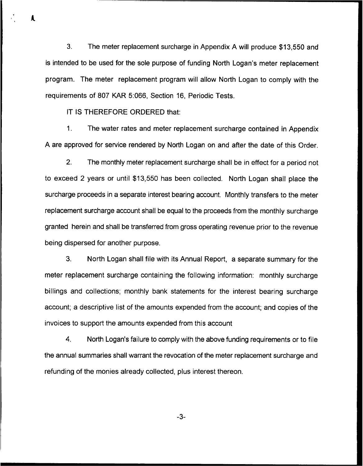3. The meter replacement surcharge in Appendix <sup>A</sup> will produce \$13,550 and is intended to be used for the sole purpose of funding North Logan's meter replacement program. The meter replacement program will allow North Logan to comply with the requirements of 807 KAR 5:066, Section 16, Periodic Tests.

IT IS THEREFORE ORDERED that:

A.

 $1<sub>1</sub>$ The water rates and meter replacement surcharge contained in Appendix A are approved for service rendered by North Logan on and after the date of this Order.

2. The monthly meter replacement surcharge shall be in effect for a period not to exceed 2 years or until \$13,550 has been collected. North Logan shall place the surcharge proceeds in a separate interest bearing account. Monthly transfers to the meter replacement surcharge account shall be equal to the proceeds from the monthly surcharge granted herein and shall be transferred from gross operating revenue prior to the revenue being dispersed for another purpose.

3. North Logan shall file with its Annual Report, a separate summary for the meter replacement surcharge containing the following information: monthly surcharge billings and collections; monthly bank statements for the interest bearing surcharge account; a descriptive list of the amounts expended from the account; and copies of the invoices to support the amounts expended from this account

4. North Logan's failure to comply with the above funding requirements or to file the annual summaries shall warrant the revocation of the meter replacement surcharge and refunding of the monies already collected, plus interest thereon.

-3-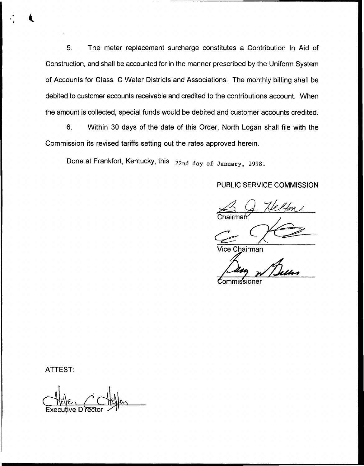5. The meter replacement surcharge constitutes a Contribution In Aid of Construction, and shall be accounted for in the manner prescribed by the Uniform System of Accounts for Class C Water Districts and Associations. The monthly billing shall be debited to customer accounts receivable and credited to the contributions account. When the amount is collected, special funds would be debited and customer accounts credited.

6. Within 30 days of the date of this Order, North Logan shall file with the Commission its revised tariffs setting out the rates approved herein.

Done at Frankfort, Kentucky, this 22nd day of January, 1998.

# PUBLIC SERVICE COMMISSION

S. J. Helfon Chairma

Vice Chairman

 ${\mathcal{C}}$ ommissioner

ATTEST:

ve Dire